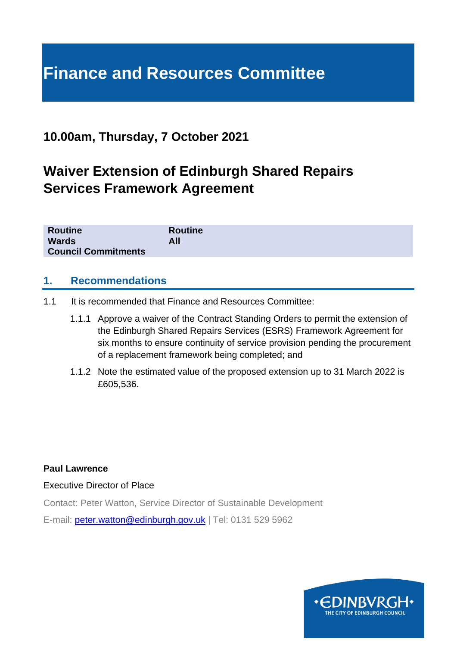# **Finance and Resources Committee**

### **10.00am, Thursday, 7 October 2021**

## **Waiver Extension of Edinburgh Shared Repairs Services Framework Agreement**

| <b>Routine</b>             | <b>Routine</b> |
|----------------------------|----------------|
| <b>Wards</b>               | All            |
| <b>Council Commitments</b> |                |

#### **1. Recommendations**

- 1.1 It is recommended that Finance and Resources Committee:
	- 1.1.1 Approve a waiver of the Contract Standing Orders to permit the extension of the Edinburgh Shared Repairs Services (ESRS) Framework Agreement for six months to ensure continuity of service provision pending the procurement of a replacement framework being completed; and
	- 1.1.2 Note the estimated value of the proposed extension up to 31 March 2022 is £605,536.

**Paul Lawrence**

Executive Director of Place

Contact: Peter Watton, Service Director of Sustainable Development

E-mail: [peter.watton@edinburgh.gov.uk](mailto:peter.watton@edinburgh.gov.uk) | Tel: 0131 529 5962

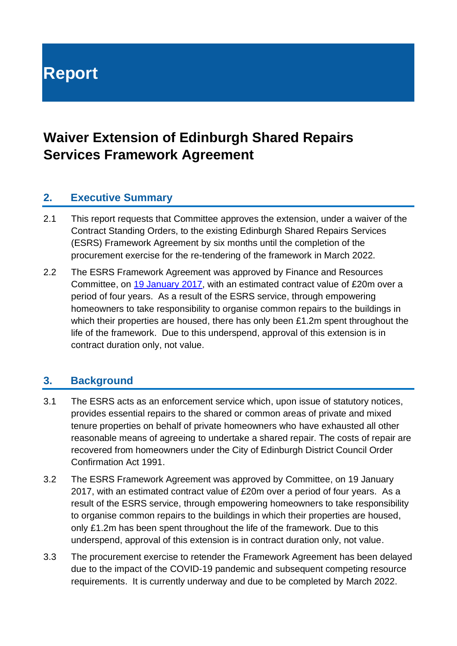# **Report**

### **Waiver Extension of Edinburgh Shared Repairs Services Framework Agreement**

#### **2. Executive Summary**

- 2.1 This report requests that Committee approves the extension, under a waiver of the Contract Standing Orders, to the existing Edinburgh Shared Repairs Services (ESRS) Framework Agreement by six months until the completion of the procurement exercise for the re-tendering of the framework in March 2022.
- 2.2 The ESRS Framework Agreement was approved by Finance and Resources Committee, on [19 January 2017,](https://democracy.edinburgh.gov.uk/CeListDocuments.aspx?CommitteeId=140&MeetingId=2296&DF=19%2f01%2f2017&Ver=2) with an estimated contract value of £20m over a period of four years. As a result of the ESRS service, through empowering homeowners to take responsibility to organise common repairs to the buildings in which their properties are housed, there has only been £1.2m spent throughout the life of the framework. Due to this underspend, approval of this extension is in contract duration only, not value.

#### **3. Background**

- 3.1 The ESRS acts as an enforcement service which, upon issue of statutory notices, provides essential repairs to the shared or common areas of private and mixed tenure properties on behalf of private homeowners who have exhausted all other reasonable means of agreeing to undertake a shared repair. The costs of repair are recovered from homeowners under the City of Edinburgh District Council Order Confirmation Act 1991.
- 3.2 The ESRS Framework Agreement was approved by Committee, on 19 January 2017, with an estimated contract value of £20m over a period of four years. As a result of the ESRS service, through empowering homeowners to take responsibility to organise common repairs to the buildings in which their properties are housed, only £1.2m has been spent throughout the life of the framework. Due to this underspend, approval of this extension is in contract duration only, not value.
- 3.3 The procurement exercise to retender the Framework Agreement has been delayed due to the impact of the COVID-19 pandemic and subsequent competing resource requirements. It is currently underway and due to be completed by March 2022.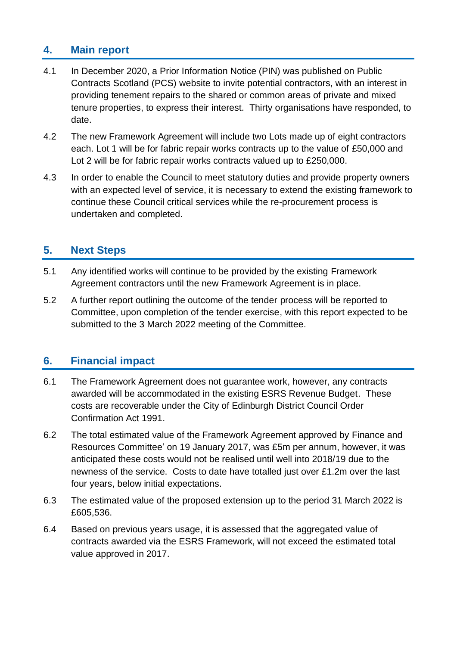#### **4. Main report**

- 4.1 In December 2020, a Prior Information Notice (PIN) was published on Public Contracts Scotland (PCS) website to invite potential contractors, with an interest in providing tenement repairs to the shared or common areas of private and mixed tenure properties, to express their interest. Thirty organisations have responded, to date.
- 4.2 The new Framework Agreement will include two Lots made up of eight contractors each. Lot 1 will be for fabric repair works contracts up to the value of £50,000 and Lot 2 will be for fabric repair works contracts valued up to £250,000.
- 4.3 In order to enable the Council to meet statutory duties and provide property owners with an expected level of service, it is necessary to extend the existing framework to continue these Council critical services while the re-procurement process is undertaken and completed.

#### **5. Next Steps**

- 5.1 Any identified works will continue to be provided by the existing Framework Agreement contractors until the new Framework Agreement is in place.
- 5.2 A further report outlining the outcome of the tender process will be reported to Committee, upon completion of the tender exercise, with this report expected to be submitted to the 3 March 2022 meeting of the Committee.

#### **6. Financial impact**

- 6.1 The Framework Agreement does not guarantee work, however, any contracts awarded will be accommodated in the existing ESRS Revenue Budget. These costs are recoverable under the City of Edinburgh District Council Order Confirmation Act 1991.
- 6.2 The total estimated value of the Framework Agreement approved by Finance and Resources Committee' on 19 January 2017, was £5m per annum, however, it was anticipated these costs would not be realised until well into 2018/19 due to the newness of the service. Costs to date have totalled just over £1.2m over the last four years, below initial expectations.
- 6.3 The estimated value of the proposed extension up to the period 31 March 2022 is £605,536.
- 6.4 Based on previous years usage, it is assessed that the aggregated value of contracts awarded via the ESRS Framework, will not exceed the estimated total value approved in 2017.